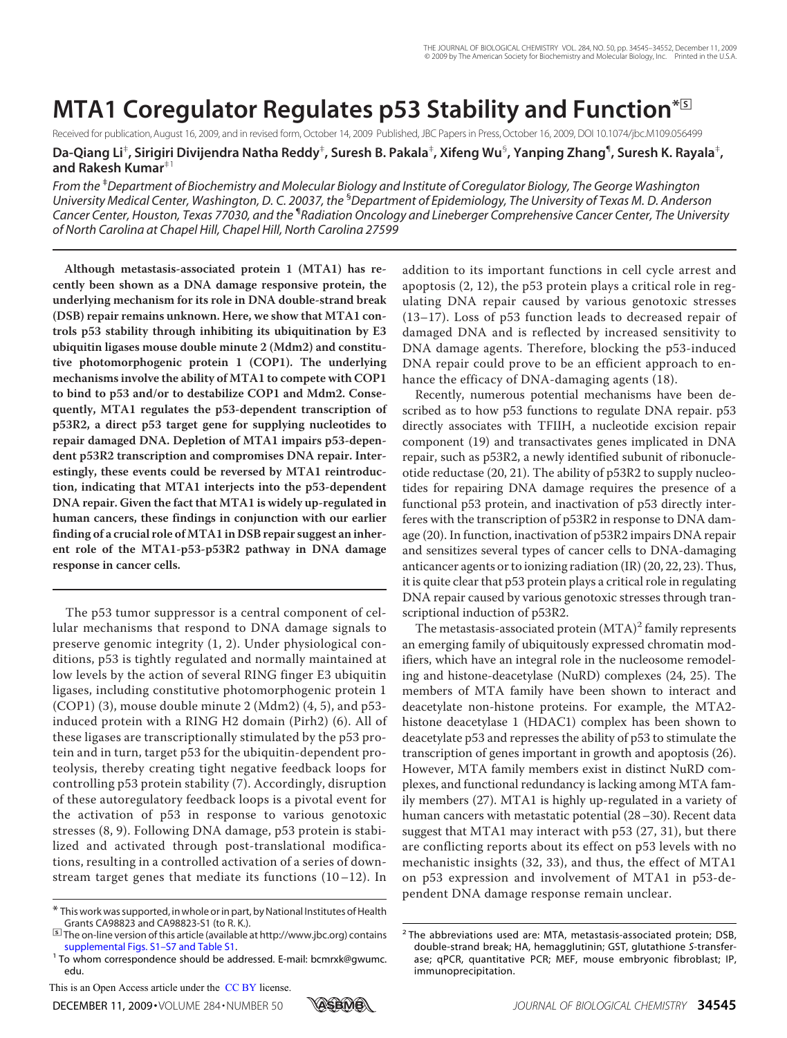# **MTA1 Coregulator Regulates p53 Stability and Function<sup>\*⊠</sup>**

Received for publication, August 16, 2009, and in revised form, October 14, 2009 Published, JBC Papers in Press, October 16, 2009, DOI 10.1074/jbc.M109.056499

**Da-Qiang Li**‡ **, Sirigiri Divijendra Natha Reddy**‡ **, Suresh B. Pakala**‡ **, Xifeng Wu**§ **, Yanping Zhang**¶ **, Suresh K. Rayala**‡ **, and Rakesh Kumar**‡1

*From the* ‡*Department of Biochemistry and Molecular Biology and Institute of Coregulator Biology, The George Washington University Medical Center, Washington, D. C. 20037, the* §*Department of Epidemiology, The University of Texas M. D. Anderson Cancer Center, Houston, Texas 77030, and the* ¶ *Radiation Oncology and Lineberger Comprehensive Cancer Center, The University of North Carolina at Chapel Hill, Chapel Hill, North Carolina 27599*

**Although metastasis-associated protein 1 (MTA1) has recently been shown as a DNA damage responsive protein, the underlying mechanism for its role in DNA double-strand break (DSB) repair remains unknown. Here, we show that MTA1 controls p53 stability through inhibiting its ubiquitination by E3 ubiquitin ligases mouse double minute 2 (Mdm2) and constitutive photomorphogenic protein 1 (COP1). The underlying mechanisms involve the ability of MTA1 to compete with COP1 to bind to p53 and/or to destabilize COP1 and Mdm2. Consequently, MTA1 regulates the p53-dependent transcription of p53R2, a direct p53 target gene for supplying nucleotides to repair damaged DNA. Depletion of MTA1 impairs p53-dependent p53R2 transcription and compromises DNA repair. Interestingly, these events could be reversed by MTA1 reintroduction, indicating that MTA1 interjects into the p53-dependent DNA repair. Given the fact that MTA1 is widely up-regulated in human cancers, these findings in conjunction with our earlier finding of a crucial role of MTA1 in DSB repair suggest an inherent role of the MTA1-p53-p53R2 pathway in DNA damage response in cancer cells.**

The p53 tumor suppressor is a central component of cellular mechanisms that respond to DNA damage signals to preserve genomic integrity (1, 2). Under physiological conditions, p53 is tightly regulated and normally maintained at low levels by the action of several RING finger E3 ubiquitin ligases, including constitutive photomorphogenic protein 1  $(COP1)$  (3), mouse double minute 2 (Mdm2) (4, 5), and p53induced protein with a RING H2 domain (Pirh2) (6). All of these ligases are transcriptionally stimulated by the p53 protein and in turn, target p53 for the ubiquitin-dependent proteolysis, thereby creating tight negative feedback loops for controlling p53 protein stability (7). Accordingly, disruption of these autoregulatory feedback loops is a pivotal event for the activation of p53 in response to various genotoxic stresses (8, 9). Following DNA damage, p53 protein is stabilized and activated through post-translational modifications, resulting in a controlled activation of a series of downstream target genes that mediate its functions (10–12). In

This is an Open Access article under the CC BY license.



addition to its important functions in cell cycle arrest and apoptosis (2, 12), the p53 protein plays a critical role in regulating DNA repair caused by various genotoxic stresses (13–17). Loss of p53 function leads to decreased repair of damaged DNA and is reflected by increased sensitivity to DNA damage agents. Therefore, blocking the p53-induced DNA repair could prove to be an efficient approach to enhance the efficacy of DNA-damaging agents (18).

Recently, numerous potential mechanisms have been described as to how p53 functions to regulate DNA repair. p53 directly associates with TFIIH, a nucleotide excision repair component (19) and transactivates genes implicated in DNA repair, such as p53R2, a newly identified subunit of ribonucleotide reductase (20, 21). The ability of p53R2 to supply nucleotides for repairing DNA damage requires the presence of a functional p53 protein, and inactivation of p53 directly interferes with the transcription of p53R2 in response to DNA damage (20). In function, inactivation of p53R2 impairs DNA repair and sensitizes several types of cancer cells to DNA-damaging anticancer agents or to ionizing radiation (IR) (20, 22, 23). Thus, it is quite clear that p53 protein plays a critical role in regulating DNA repair caused by various genotoxic stresses through transcriptional induction of p53R2.

The metastasis-associated protein  $(MTA)^2$  family represents an emerging family of ubiquitously expressed chromatin modifiers, which have an integral role in the nucleosome remodeling and histone-deacetylase (NuRD) complexes (24, 25). The members of MTA family have been shown to interact and deacetylate non-histone proteins. For example, the MTA2 histone deacetylase 1 (HDAC1) complex has been shown to deacetylate p53 and represses the ability of p53 to stimulate the transcription of genes important in growth and apoptosis (26). However, MTA family members exist in distinct NuRD complexes, and functional redundancy is lacking among MTA family members (27). MTA1 is highly up-regulated in a variety of human cancers with metastatic potential (28–30). Recent data suggest that MTA1 may interact with p53 (27, 31), but there are conflicting reports about its effect on p53 levels with no mechanistic insights (32, 33), and thus, the effect of MTA1 on p53 expression and involvement of MTA1 in p53-dependent DNA damage response remain unclear.

<sup>\*</sup> This work was supported, in whole or in part, by National Institutes of Health Grants CA98823 and CA98823-S1 (to R. K.).

<sup>□</sup>**S** The on-line version of this article (available at http://www.jbc.org) contains supplemental Figs. S1–S7 and Table S1.

<sup>&</sup>lt;sup>1</sup> To whom correspondence should be addressed. E-mail: bcmrxk@gwumc. edu.

<sup>&</sup>lt;sup>2</sup> The abbreviations used are: MTA, metastasis-associated protein; DSB, double-strand break; HA, hemagglutinin; GST, glutathione *S*-transferase; qPCR, quantitative PCR; MEF, mouse embryonic fibroblast; IP, immunoprecipitation.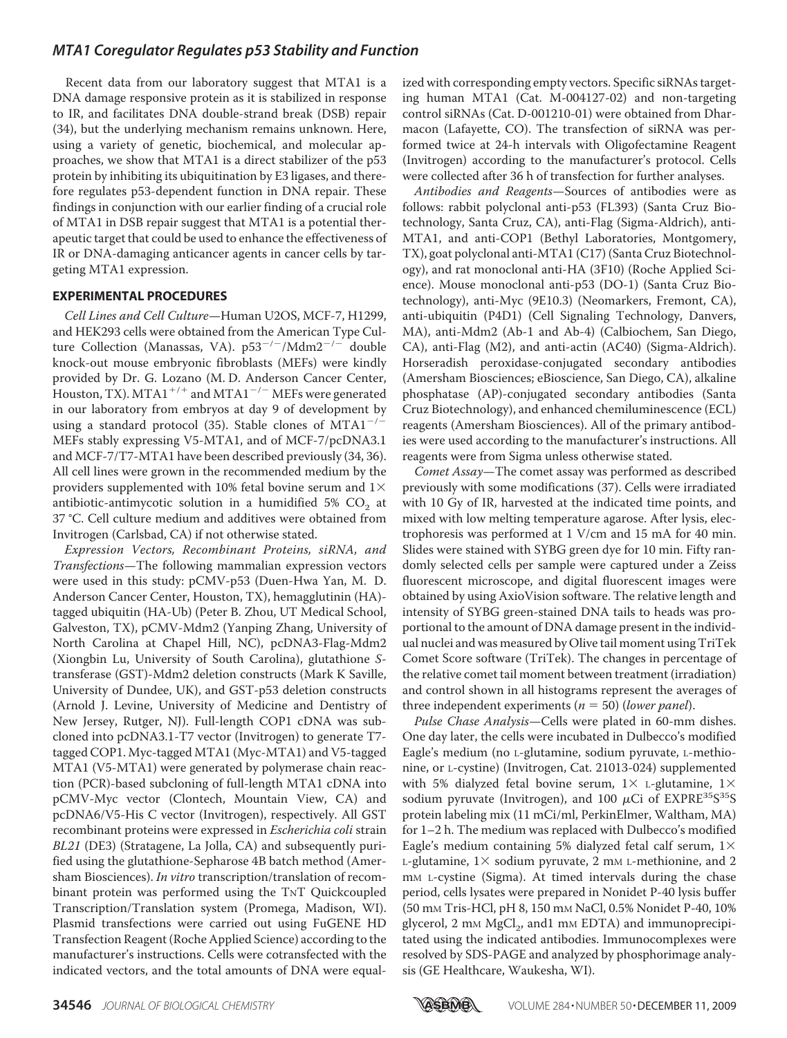Recent data from our laboratory suggest that MTA1 is a DNA damage responsive protein as it is stabilized in response to IR, and facilitates DNA double-strand break (DSB) repair (34), but the underlying mechanism remains unknown. Here, using a variety of genetic, biochemical, and molecular approaches, we show that MTA1 is a direct stabilizer of the p53 protein by inhibiting its ubiquitination by E3 ligases, and therefore regulates p53-dependent function in DNA repair. These findings in conjunction with our earlier finding of a crucial role of MTA1 in DSB repair suggest that MTA1 is a potential therapeutic target that could be used to enhance the effectiveness of IR or DNA-damaging anticancer agents in cancer cells by targeting MTA1 expression.

#### **EXPERIMENTAL PROCEDURES**

Cell Lines and Cell Culture—Human U2OS, MCF-7, H1299, and HEK293 cells were obtained from the American Type Culture Collection (Manassas, VA).  $p53^{-/-}/Mdm2^{-/-}$  double knock-out mouse embryonic fibroblasts (MEFs) were kindly provided by Dr. G. Lozano (M. D. Anderson Cancer Center, Houston, TX). MTA1<sup>+/+</sup> and MTA1<sup>-/-</sup> MEFs were generated in our laboratory from embryos at day 9 of development by using a standard protocol (35). Stable clones of  $MTA1^{-/-}$ MEFs stably expressing V5-MTA1, and of MCF-7/pcDNA3.1 and MCF-7/T7-MTA1 have been described previously (34, 36). All cell lines were grown in the recommended medium by the providers supplemented with 10% fetal bovine serum and  $1\times$ antibiotic-antimycotic solution in a humidified 5%  $\mathrm{CO}_2$  at 37 °C. Cell culture medium and additives were obtained from Invitrogen (Carlsbad, CA) if not otherwise stated.

Expression Vectors, Recombinant Proteins, siRNA, and Transfections—The following mammalian expression vectors were used in this study: pCMV-p53 (Duen-Hwa Yan, M. D. Anderson Cancer Center, Houston, TX), hemagglutinin (HA) tagged ubiquitin (HA-Ub) (Peter B. Zhou, UT Medical School, Galveston, TX), pCMV-Mdm2 (Yanping Zhang, University of North Carolina at Chapel Hill, NC), pcDNA3-Flag-Mdm2 (Xiongbin Lu, University of South Carolina), glutathione Stransferase (GST)-Mdm2 deletion constructs (Mark K Saville, University of Dundee, UK), and GST-p53 deletion constructs (Arnold J. Levine, University of Medicine and Dentistry of New Jersey, Rutger, NJ). Full-length COP1 cDNA was subcloned into pcDNA3.1-T7 vector (Invitrogen) to generate T7 tagged COP1. Myc-tagged MTA1 (Myc-MTA1) and V5-tagged MTA1 (V5-MTA1) were generated by polymerase chain reaction (PCR)-based subcloning of full-length MTA1 cDNA into pCMV-Myc vector (Clontech, Mountain View, CA) and pcDNA6/V5-His C vector (Invitrogen), respectively. All GST recombinant proteins were expressed in Escherichia coli strain BL21 (DE3) (Stratagene, La Jolla, CA) and subsequently purified using the glutathione-Sepharose 4B batch method (Amersham Biosciences). In vitro transcription/translation of recombinant protein was performed using the TNT Quickcoupled Transcription/Translation system (Promega, Madison, WI). Plasmid transfections were carried out using FuGENE HD Transfection Reagent (Roche Applied Science) according to the manufacturer's instructions. Cells were cotransfected with the indicated vectors, and the total amounts of DNA were equalized with corresponding empty vectors. Specific siRNAs targeting human MTA1 (Cat. M-004127-02) and non-targeting control siRNAs (Cat. D-001210-01) were obtained from Dharmacon (Lafayette, CO). The transfection of siRNA was performed twice at 24-h intervals with Oligofectamine Reagent (Invitrogen) according to the manufacturer's protocol. Cells were collected after 36 h of transfection for further analyses.

Antibodies and Reagents—Sources of antibodies were as follows: rabbit polyclonal anti-p53 (FL393) (Santa Cruz Biotechnology, Santa Cruz, CA), anti-Flag (Sigma-Aldrich), anti-MTA1, and anti-COP1 (Bethyl Laboratories, Montgomery, TX), goat polyclonal anti-MTA1 (C17) (Santa Cruz Biotechnology), and rat monoclonal anti-HA (3F10) (Roche Applied Science). Mouse monoclonal anti-p53 (DO-1) (Santa Cruz Biotechnology), anti-Myc (9E10.3) (Neomarkers, Fremont, CA), anti-ubiquitin (P4D1) (Cell Signaling Technology, Danvers, MA), anti-Mdm2 (Ab-1 and Ab-4) (Calbiochem, San Diego, CA), anti-Flag (M2), and anti-actin (AC40) (Sigma-Aldrich). Horseradish peroxidase-conjugated secondary antibodies (Amersham Biosciences; eBioscience, San Diego, CA), alkaline phosphatase (AP)-conjugated secondary antibodies (Santa Cruz Biotechnology), and enhanced chemiluminescence (ECL) reagents (Amersham Biosciences). All of the primary antibodies were used according to the manufacturer's instructions. All reagents were from Sigma unless otherwise stated.

Comet Assay—The comet assay was performed as described previously with some modifications (37). Cells were irradiated with 10 Gy of IR, harvested at the indicated time points, and mixed with low melting temperature agarose. After lysis, electrophoresis was performed at 1 V/cm and 15 mA for 40 min. Slides were stained with SYBG green dye for 10 min. Fifty randomly selected cells per sample were captured under a Zeiss fluorescent microscope, and digital fluorescent images were obtained by using AxioVision software. The relative length and intensity of SYBG green-stained DNA tails to heads was proportional to the amount of DNA damage present in the individual nuclei and was measured by Olive tail moment using TriTek Comet Score software (TriTek). The changes in percentage of the relative comet tail moment between treatment (irradiation) and control shown in all histograms represent the averages of three independent experiments ( $n = 50$ ) (lower panel).

Pulse Chase Analysis—Cells were plated in 60-mm dishes. One day later, the cells were incubated in Dulbecco's modified Eagle's medium (no L-glutamine, sodium pyruvate, L-methionine, or L-cystine) (Invitrogen, Cat. 21013-024) supplemented with 5% dialyzed fetal bovine serum,  $1 \times$  L-glutamine,  $1 \times$ sodium pyruvate (Invitrogen), and 100  $\mu$ Ci of EXPRE<sup>35</sup>S<sup>35</sup>S protein labeling mix (11 mCi/ml, PerkinElmer, Waltham, MA) for 1–2 h. The medium was replaced with Dulbecco's modified Eagle's medium containing 5% dialyzed fetal calf serum,  $1\times$ L-glutamine,  $1 \times$  sodium pyruvate, 2 mM L-methionine, and 2 mM L-cystine (Sigma). At timed intervals during the chase period, cells lysates were prepared in Nonidet P-40 lysis buffer (50 mM Tris-HCl, pH 8, 150 mM NaCl, 0.5% Nonidet P-40, 10% glycerol, 2  $\text{mm MgCl}_2$ , and1  $\text{mm K}$  EDTA) and immunoprecipitated using the indicated antibodies. Immunocomplexes were resolved by SDS-PAGE and analyzed by phosphorimage analysis (GE Healthcare, Waukesha, WI).

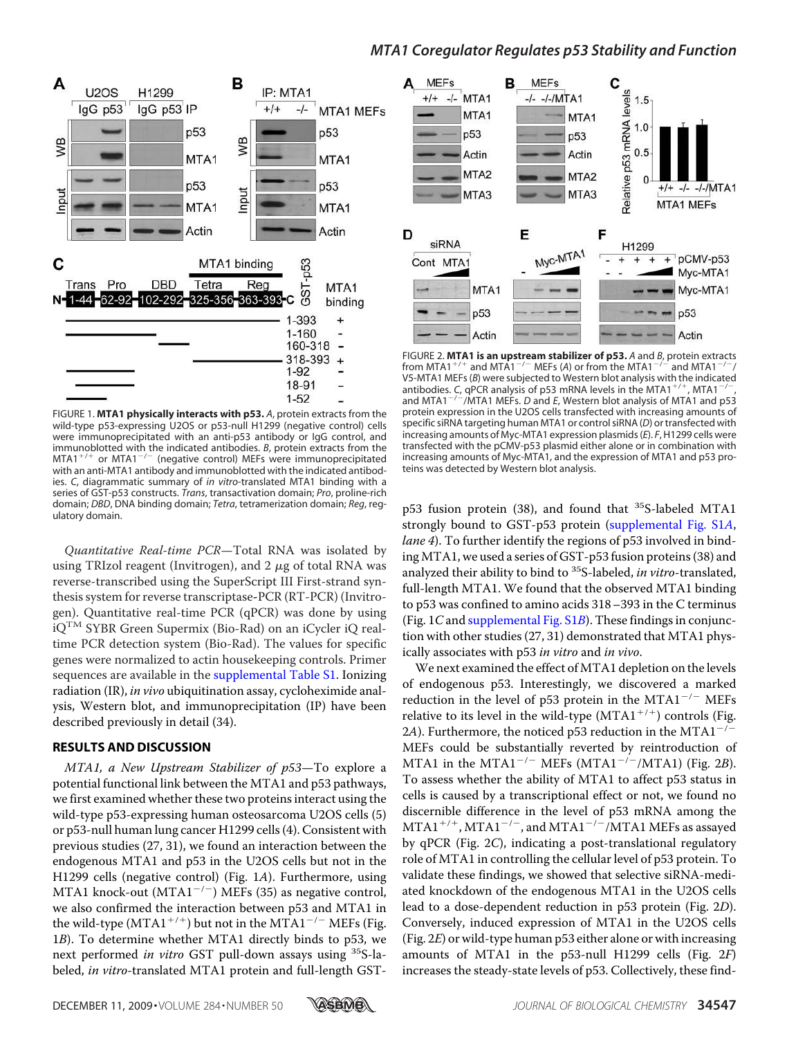

FIGURE 1. **MTA1 physically interacts with p53.** *A*, protein extracts from the wild-type p53-expressing U2OS or p53-null H1299 (negative control) cells were immunoprecipitated with an anti-p53 antibody or IgG control, and immunoblotted with the indicated antibodies. *B*, protein extracts from the minument and the marketed and based on process between the new site of the control). with an anti-MTA1 antibody and immunoblotted with the indicated antibodies. *C*, diagrammatic summary of *in vitro*-translated MTA1 binding with a series of GST-p53 constructs. *Trans*, transactivation domain; *Pro*, proline-rich domain; *DBD*, DNA binding domain; *Tetra*, tetramerization domain; *Reg*, regulatory domain.

Quantitative Real-time PCR—Total RNA was isolated by using TRIzol reagent (Invitrogen), and  $2 \mu$ g of total RNA was reverse-transcribed using the SuperScript III First-strand synthesis system for reverse transcriptase**-**PCR (RT-PCR) (Invitrogen). Quantitative real-time PCR (qPCR) was done by using iQTM SYBR Green Supermix (Bio-Rad) on an iCycler iQ realtime PCR detection system (Bio-Rad). The values for specific genes were normalized to actin housekeeping controls. Primer sequences are available in the supplemental Table S1. Ionizing radiation (IR), in vivo ubiquitination assay, cycloheximide analysis, Western blot, and immunoprecipitation (IP) have been described previously in detail (34).

#### **RESULTS AND DISCUSSION**

MTA1, a New Upstream Stabilizer of p53—To explore a potential functional link between the MTA1 and p53 pathways, we first examined whether these two proteins interact using the wild-type p53-expressing human osteosarcoma U2OS cells (5) or p53-null human lung cancer H1299 cells (4). Consistent with previous studies (27, 31), we found an interaction between the endogenous MTA1 and p53 in the U2OS cells but not in the H1299 cells (negative control) (Fig. 1A). Furthermore, using MTA1 knock-out  $(MTA1^{-/-})$  MEFs (35) as negative control, we also confirmed the interaction between p53 and MTA1 in the wild-type  $(MTA1^{+/+})$  but not in the  $MTA1^{-/-}$  MEFs (Fig. 1B). To determine whether MTA1 directly binds to p53, we next performed *in vitro* GST pull-down assays using <sup>35</sup>S-labeled, in vitro-translated MTA1 protein and full-length GST-

#### *MTA1 Coregulator Regulates p53 Stability and Function*



FIGURE 2. **MTA1 is an upstream stabilizer of p53.** *A* and *B*, protein extracts  $from MTA1<sup>+/+</sup>$  $-$  MEFs (A) or from the MTA1<sup>-</sup> and MTA1 $^-$ / V5-MTA1 MEFs (*B*) were subjected to Western blot analysis with the indicated antibodies. *C*, qPCR analysis of p53 mRNA levels in the MTA1<sup>+/+</sup>, MTA1<sup>-/-</sup> , and MTA1 $^{-}$ / /MTA1 MEFs. *D* and *E*, Western blot analysis of MTA1 and p53 protein expression in the U2OS cells transfected with increasing amounts of specific siRNA targeting human MTA1 or control siRNA (*D*) or transfected with increasing amounts of Myc-MTA1 expression plasmids (*E*). *F*, H1299 cells were transfected with the pCMV-p53 plasmid either alone or in combination with increasing amounts of Myc-MTA1, and the expression of MTA1 and p53 proteins was detected by Western blot analysis.

p53 fusion protein (38), and found that <sup>35</sup>S-labeled MTA1 strongly bound to GST-p53 protein (supplemental Fig. S1A, lane 4). To further identify the regions of p53 involved in binding MTA1, we used a series of GST-p53 fusion proteins (38) and analyzed their ability to bind to  $35S$ -labeled, in vitro-translated, full-length MTA1. We found that the observed MTA1 binding to p53 was confined to amino acids 318–393 in the C terminus (Fig.  $1C$  and supplemental Fig.  $S1B$ ). These findings in conjunction with other studies (27, 31) demonstrated that MTA1 physically associates with p53 in vitro and in vivo.

We next examined the effect of MTA1 depletion on the levels of endogenous p53. Interestingly, we discovered a marked reduction in the level of p53 protein in the MTA1<sup>-/-</sup> MEFs relative to its level in the wild-type  $(MTA1^{+/+})$  controls (Fig. 2A). Furthermore, the noticed p53 reduction in the MTA1<sup>-/-</sup> MEFs could be substantially reverted by reintroduction of MTA1 in the MTA1<sup>-/-</sup> MEFs (MTA1<sup>-/-</sup>/MTA1) (Fig. 2B). To assess whether the ability of MTA1 to affect p53 status in cells is caused by a transcriptional effect or not, we found no discernible difference in the level of p53 mRNA among the  $MTA1^{+/+}$ ,  $MTA1^{-/-}$ , and  $MTA1^{-/-}/MTA1$  MEFs as assayed by qPCR (Fig. 2C), indicating a post-translational regulatory role of MTA1 in controlling the cellular level of p53 protein. To validate these findings, we showed that selective siRNA-mediated knockdown of the endogenous MTA1 in the U2OS cells lead to a dose-dependent reduction in p53 protein (Fig. 2D). Conversely, induced expression of MTA1 in the U2OS cells (Fig. 2E) or wild-type human p53 either alone or with increasing amounts of MTA1 in the p53-null H1299 cells (Fig. 2F) increases the steady-state levels of p53. Collectively, these find-

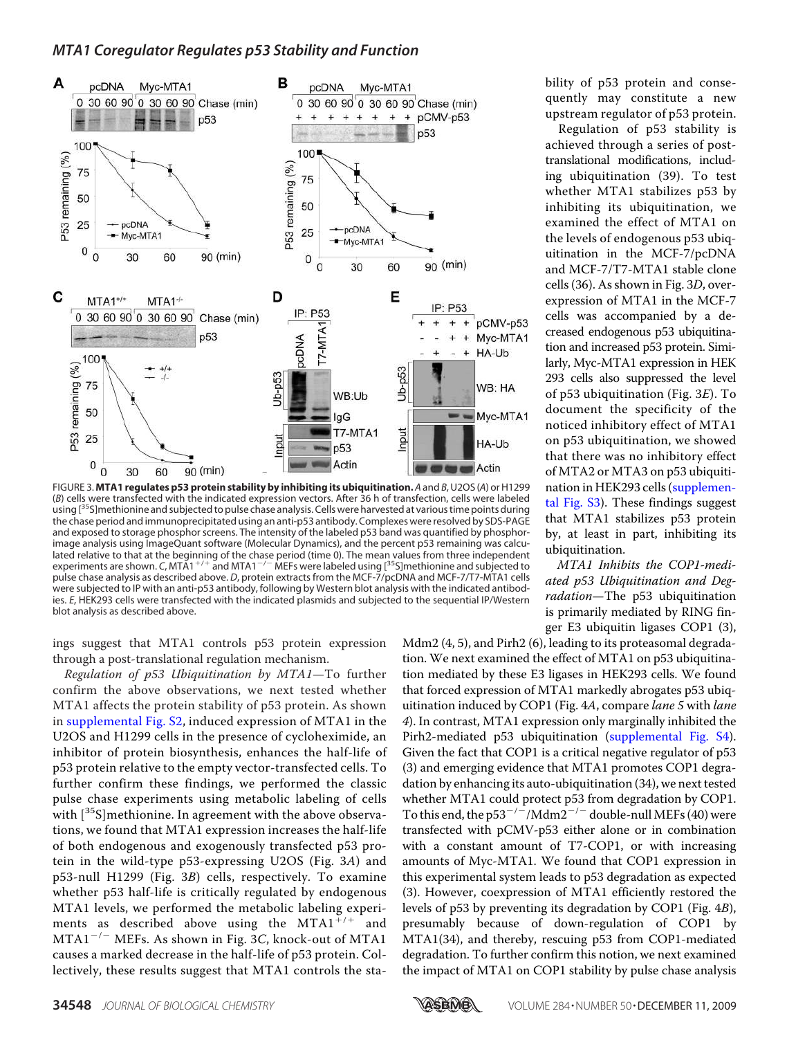

FIGURE 3. **MTA1 regulates p53 protein stability by inhibiting its ubiquitination.** *A* and *B*, U2OS (*A*) or H1299 (*B*) cells were transfected with the indicated expression vectors. After 36 h of transfection, cells were labeled using [<sup>35</sup>S]methionine and subjected to pulse chase analysis. Cells were harvested at various time points during the chase period and immunoprecipitated using an anti-p53 antibody. Complexes were resolved by SDS-PAGE and exposed to storage phosphor screens. The intensity of the labeled p53 band was quantified by phosphorimage analysis using ImageQuant software (Molecular Dynamics), and the percent p53 remaining was calculated relative to that at the beginning of the chase period (time 0). The mean values from three independent<br>experiments are shown. *C*, MTA1<sup>+/+</sup> and MTA1<sup>–/–</sup> MEFs were labeled using [<sup>35</sup>S]methionine and subjected to pulse chase analysis as described above. *D*, protein extracts from the MCF-7/pcDNA and MCF-7/T7-MTA1 cells were subjected to IP with an anti-p53 antibody, following by Western blot analysis with the indicated antibodies. *E*, HEK293 cells were transfected with the indicated plasmids and subjected to the sequential IP/Western blot analysis as described above.

ings suggest that MTA1 controls p53 protein expression through a post-translational regulation mechanism.

Regulation of p53 Ubiquitination by MTA1—To further confirm the above observations, we next tested whether MTA1 affects the protein stability of p53 protein. As shown in supplemental Fig. S2, induced expression of MTA1 in the U2OS and H1299 cells in the presence of cycloheximide, an inhibitor of protein biosynthesis, enhances the half-life of p53 protein relative to the empty vector-transfected cells. To further confirm these findings, we performed the classic pulse chase experiments using metabolic labeling of cells with  $\left[^{35}S\right]$ methionine. In agreement with the above observations, we found that MTA1 expression increases the half-life of both endogenous and exogenously transfected p53 protein in the wild-type p53-expressing U2OS (Fig. 3A) and p53-null H1299 (Fig. 3B) cells, respectively. To examine whether p53 half-life is critically regulated by endogenous MTA1 levels, we performed the metabolic labeling experiments as described above using the  $MTA1^{+/+}$  and  $MTA1^{-/-}$  MEFs. As shown in Fig. 3C, knock-out of MTA1 causes a marked decrease in the half-life of p53 protein. Collectively, these results suggest that MTA1 controls the stability of p53 protein and consequently may constitute a new upstream regulator of p53 protein.

Regulation of p53 stability is achieved through a series of posttranslational modifications, including ubiquitination (39). To test whether MTA1 stabilizes p53 by inhibiting its ubiquitination, we examined the effect of MTA1 on the levels of endogenous p53 ubiquitination in the MCF-7/pcDNA and MCF-7/T7-MTA1 stable clone cells (36). As shown in Fig. 3D, overexpression of MTA1 in the MCF-7 cells was accompanied by a decreased endogenous p53 ubiquitination and increased p53 protein. Similarly, Myc-MTA1 expression in HEK 293 cells also suppressed the level of p53 ubiquitination (Fig. 3E). To document the specificity of the noticed inhibitory effect of MTA1 on p53 ubiquitination, we showed that there was no inhibitory effect of MTA2 or MTA3 on p53 ubiquitination in HEK293 cells (supplemental Fig. S3). These findings suggest that MTA1 stabilizes p53 protein by, at least in part, inhibiting its ubiquitination.

MTA1 Inhibits the COP1-mediated p53 Ubiquitination and Degradation-The p53 ubiquitination is primarily mediated by RING finger E3 ubiquitin ligases COP1 (3),

Mdm2 (4, 5), and Pirh2 (6), leading to its proteasomal degradation. We next examined the effect of MTA1 on p53 ubiquitination mediated by these E3 ligases in HEK293 cells. We found that forced expression of MTA1 markedly abrogates p53 ubiquitination induced by COP1 (Fig. 4A, compare lane 5 with lane 4). In contrast, MTA1 expression only marginally inhibited the Pirh2-mediated p53 ubiquitination (supplemental Fig. S4). Given the fact that COP1 is a critical negative regulator of p53 (3) and emerging evidence that MTA1 promotes COP1 degradation by enhancing its auto-ubiquitination (34), we next tested whether MTA1 could protect p53 from degradation by COP1. To this end, the  $p53^{-/-}/Mdm2^{-/-}$  double-null MEFs (40) were transfected with pCMV-p53 either alone or in combination with a constant amount of T7-COP1, or with increasing amounts of Myc-MTA1. We found that COP1 expression in this experimental system leads to p53 degradation as expected (3). However, coexpression of MTA1 efficiently restored the levels of p53 by preventing its degradation by COP1 (Fig. 4B), presumably because of down-regulation of COP1 by MTA1(34), and thereby, rescuing p53 from COP1-mediated degradation. To further confirm this notion, we next examined the impact of MTA1 on COP1 stability by pulse chase analysis

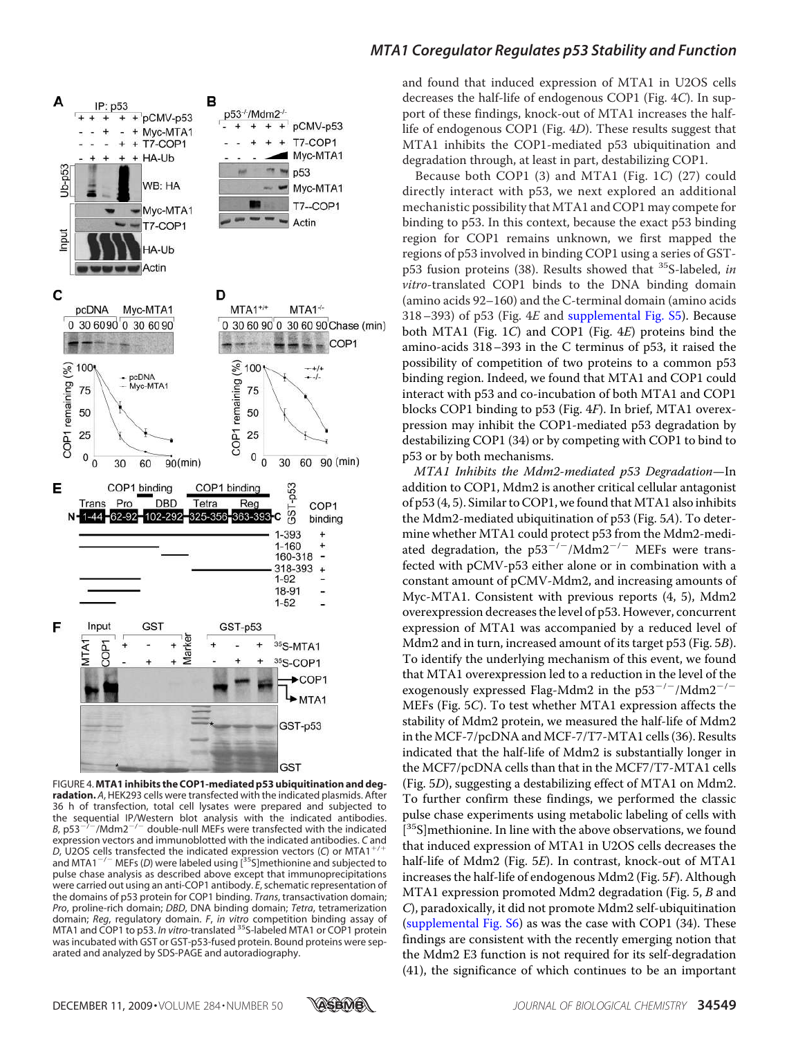

FIGURE 4. **MTA1 inhibits the COP1-mediated p53 ubiquitination and degradation.** *A*, HEK293 cells were transfected with the indicated plasmids. After 36 h of transfection, total cell lysates were prepared and subjected to the sequential IP/Western blot analysis with the indicated antibodies.  $B, p53^{-7}$ /Mdm2/ double-null MEFs were transfected with the indicated expression vectors and immunoblotted with the indicated antibodies. *C* and<br>D. U2OS cells transfected the indicated expression vectors (*C*) or MTA1<sup>+/+</sup> *D*, U2OS cells transfected the indicated expression vectors (*C*) or MTA1and MTA1<sup>-/-</sup> MEFs (D) were labeled using [<sup>35</sup>S]methionine and subjected to pulse chase analysis as described above except that immunoprecipitations were carried out using an anti-COP1 antibody. *E*, schematic representation of the domains of p53 protein for COP1 binding. *Trans*, transactivation domain; *Pro*, proline-rich domain; *DBD*, DNA binding domain; *Tetra*, tetramerization domain; *Reg*, regulatory domain. *F*, *in vitro* competition binding assay of MTA1 and COP1 to p53. *In vitro*-translated <sup>35</sup>S-labeled MTA1 or COP1 protein was incubated with GST or GST-p53-fused protein. Bound proteins were separated and analyzed by SDS-PAGE and autoradiography.

and found that induced expression of MTA1 in U2OS cells decreases the half-life of endogenous COP1 (Fig. 4C). In support of these findings, knock-out of MTA1 increases the halflife of endogenous COP1 (Fig. 4D). These results suggest that MTA1 inhibits the COP1-mediated p53 ubiquitination and degradation through, at least in part, destabilizing COP1.

Because both COP1 (3) and MTA1 (Fig. 1C) (27) could directly interact with p53, we next explored an additional mechanistic possibility that MTA1 and COP1 may compete for binding to p53. In this context, because the exact p53 binding region for COP1 remains unknown, we first mapped the regions of p53 involved in binding COP1 using a series of GSTp53 fusion proteins (38). Results showed that  $35S$ -labeled, in vitro-translated COP1 binds to the DNA binding domain (amino acids 92–160) and the C-terminal domain (amino acids 318–393) of p53 (Fig. 4E and supplemental Fig. S5). Because both MTA1 (Fig. 1C) and COP1 (Fig. 4E) proteins bind the amino-acids 318–393 in the C terminus of p53, it raised the possibility of competition of two proteins to a common p53 binding region. Indeed, we found that MTA1 and COP1 could interact with p53 and co-incubation of both MTA1 and COP1 blocks COP1 binding to p53 (Fig. 4F). In brief, MTA1 overexpression may inhibit the COP1-mediated p53 degradation by destabilizing COP1 (34) or by competing with COP1 to bind to p53 or by both mechanisms.

MTA1 Inhibits the Mdm2-mediated p53 Degradation—In addition to COP1, Mdm2 is another critical cellular antagonist of p53 (4, 5). Similar to COP1, we found that MTA1 also inhibits the Mdm2-mediated ubiquitination of p53 (Fig. 5A). To determine whether MTA1 could protect p53 from the Mdm2-mediated degradation, the  $p53^{-/-}/Mdm2^{-/-}$  MEFs were transfected with pCMV-p53 either alone or in combination with a constant amount of pCMV-Mdm2, and increasing amounts of Myc-MTA1. Consistent with previous reports (4, 5), Mdm2 overexpression decreases the level of p53. However, concurrent expression of MTA1 was accompanied by a reduced level of Mdm2 and in turn, increased amount of its target p53 (Fig. 5B). To identify the underlying mechanism of this event, we found that MTA1 overexpression led to a reduction in the level of the exogenously expressed Flag-Mdm2 in the  $p53^{-/-}/Mdm2^{-/-}$ MEFs (Fig. 5C). To test whether MTA1 expression affects the stability of Mdm2 protein, we measured the half-life of Mdm2 in the MCF-7/pcDNA and MCF-7/T7-MTA1 cells (36). Results indicated that the half-life of Mdm2 is substantially longer in the MCF7/pcDNA cells than that in the MCF7/T7-MTA1 cells (Fig. 5D), suggesting a destabilizing effect of MTA1 on Mdm2. To further confirm these findings, we performed the classic pulse chase experiments using metabolic labeling of cells with [<sup>35</sup>S]methionine. In line with the above observations, we found that induced expression of MTA1 in U2OS cells decreases the half-life of Mdm2 (Fig. 5E). In contrast, knock-out of MTA1 increases the half-life of endogenous Mdm2 (Fig. 5F). Although MTA1 expression promoted Mdm2 degradation (Fig. 5, B and C), paradoxically, it did not promote Mdm2 self-ubiquitination (supplemental Fig. S6) as was the case with COP1 (34). These findings are consistent with the recently emerging notion that the Mdm2 E3 function is not required for its self-degradation (41), the significance of which continues to be an important

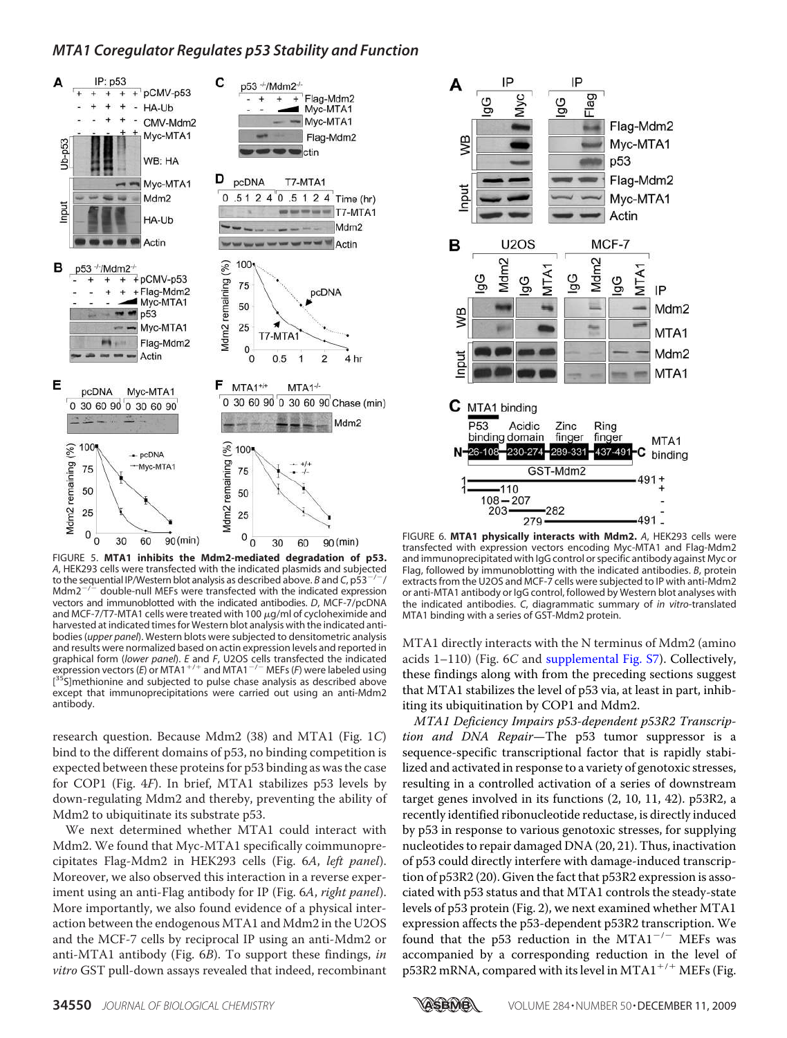

FIGURE 5. **MTA1 inhibits the Mdm2-mediated degradation of p53.** *A*, HEK293 cells were transfected with the indicated plasmids and subjected to the sequential IP/Western blot analysis as described above. *B* and *C*, p53/ /  $Mdm2^{-/-}$ double-null MEFs were transfected with the indicated expression vectors and immunoblotted with the indicated antibodies. *D*, MCF-7/pcDNA and MCF-7/T7-MTA1 cells were treated with 100  $\mu$ g/ml of cycloheximide and harvested at indicated times for Western blot analysis with the indicated antibodies (*upper panel*). Western blots were subjected to densitometric analysis and results were normalized based on actin expression levels and reported in graphical form (*lower panel*). *E* and *F*, U2OS cells transfected the indicated<br>expression vectors (*E*) or MTA1<sup>+/+</sup> and MTA1<sup>-/-</sup> MEFs (*F*) were labeled using [<sup>35</sup>S]methionine and subjected to pulse chase analysis as described above except that immunoprecipitations were carried out using an anti-Mdm2 antibody.

research question. Because Mdm2 (38) and MTA1 (Fig. 1C) bind to the different domains of p53, no binding competition is expected between these proteins for p53 binding as was the case for COP1 (Fig. 4F). In brief, MTA1 stabilizes p53 levels by down-regulating Mdm2 and thereby, preventing the ability of Mdm2 to ubiquitinate its substrate p53.

We next determined whether MTA1 could interact with Mdm2. We found that Myc-MTA1 specifically coimmunoprecipitates Flag-Mdm2 in HEK293 cells (Fig. 6A, left panel). Moreover, we also observed this interaction in a reverse experiment using an anti-Flag antibody for IP (Fig. 6A, *right panel*). More importantly, we also found evidence of a physical interaction between the endogenous MTA1 and Mdm2 in the U2OS and the MCF-7 cells by reciprocal IP using an anti-Mdm2 or anti-MTA1 antibody (Fig. 6B). To support these findings, in vitro GST pull-down assays revealed that indeed, recombinant



FIGURE 6. **MTA1 physically interacts with Mdm2.** *A*, HEK293 cells were transfected with expression vectors encoding Myc-MTA1 and Flag-Mdm2 and immunoprecipitated with IgG control or specific antibody against Myc or Flag, followed by immunoblotting with the indicated antibodies. *B*, protein extracts from the U2OS and MCF-7 cells were subjected to IP with anti-Mdm2 or anti-MTA1 antibody or IgG control, followed by Western blot analyses with the indicated antibodies. *C*, diagrammatic summary of *in vitro*-translated MTA1 binding with a series of GST-Mdm2 protein.

MTA1 directly interacts with the N terminus of Mdm2 (amino acids 1–110) (Fig. 6C and supplemental Fig. S7). Collectively, these findings along with from the preceding sections suggest that MTA1 stabilizes the level of p53 via, at least in part, inhibiting its ubiquitination by COP1 and Mdm2.

MTA1 Deficiency Impairs p53-dependent p53R2 Transcription and DNA Repair-The p53 tumor suppressor is a sequence-specific transcriptional factor that is rapidly stabilized and activated in response to a variety of genotoxic stresses, resulting in a controlled activation of a series of downstream target genes involved in its functions (2, 10, 11, 42). p53R2, a recently identified ribonucleotide reductase, is directly induced by p53 in response to various genotoxic stresses, for supplying nucleotides to repair damaged DNA (20, 21). Thus, inactivation of p53 could directly interfere with damage-induced transcription of p53R2 (20). Given the fact that p53R2 expression is associated with p53 status and that MTA1 controls the steady-state levels of p53 protein (Fig. 2), we next examined whether MTA1 expression affects the p53-dependent p53R2 transcription. We found that the p53 reduction in the MTA1<sup>-/-</sup> MEFs was accompanied by a corresponding reduction in the level of  $p53R2$  mRNA, compared with its level in MTA1<sup>+/+</sup> MEFs (Fig.

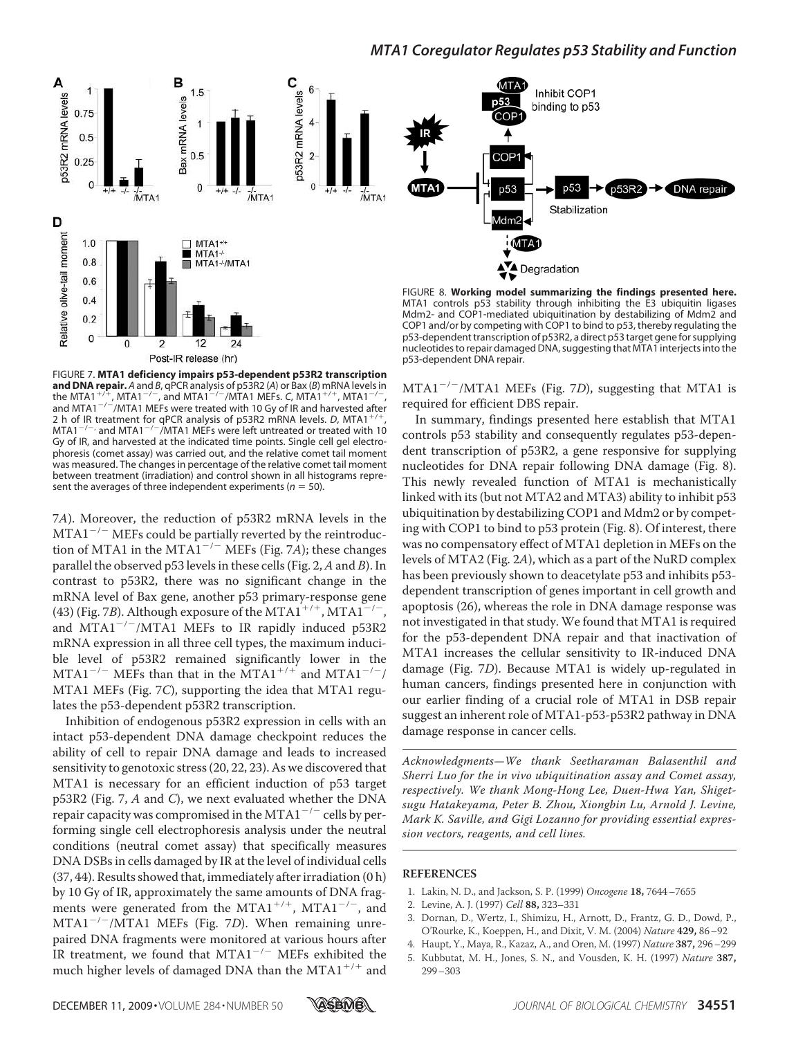

p53-dependent DNA repair.

Post-IR release (hr)

FIGURE 7. **MTA1 deficiency impairs p53-dependent p53R2 transcription and DNA repair.** *A* and *B*, qPCR analysis of p53R2 (*A*) or Bax (*B*) mRNA levels in the MTA1<sup>+/+</sup>, MTA1<sup>-/-</sup>, and MTA1<sup>-/-</sup>/MTA1 MEFs. *C*, MTA1<sup>+/+</sup>, MTA1<sup>-/-</sup>,<br>and MTA1<sup>-/-</sup>/MTA1 MEFs were treated with 10 Gy of IR and harvested after<br>2 b of IP treatment for gPCP analysis of 53P2 mPNA layels. D. MTA1<sup>+/+</sup> 2 h of IR treatment for qPCR analysis of p53R2 mRNA levels. *D*, MTA1<sup>+/-</sup> 2 h of IR treatment for qPCR analysis of p53R2 mRNA levels. *D,* MTA1<sup>+/+</sup>,<br>MTA1<sup>—/—,</sup> and MTA1<sup>—/—</sup>/MTA1 MEFs were left untreated or treated with 10 Gy of IR, and harvested at the indicated time points. Single cell gel electrophoresis (comet assay) was carried out, and the relative comet tail moment was measured. The changes in percentage of the relative comet tail moment between treatment (irradiation) and control shown in all histograms represent the averages of three independent experiments ( $n = 50$ ).

7A). Moreover, the reduction of p53R2 mRNA levels in the  $MTA1^{-/-}$  MEFs could be partially reverted by the reintroduction of MTA1 in the MTA1<sup>-/-</sup> MEFs (Fig. 7A); these changes parallel the observed p53 levels in these cells (Fig. 2, A and B). In contrast to p53R2, there was no significant change in the mRNA level of Bax gene, another p53 primary-response gene (43) (Fig. 7B). Although exposure of the MTA1<sup>+/+</sup>, MTA1<sup>-/-</sup> , and  $MTA1^{-/-}/MTA1$  MEFs to IR rapidly induced p53R2 mRNA expression in all three cell types, the maximum inducible level of p53R2 remained significantly lower in the  $MTA1^{-/-}$  MEFs than that in the MTA1<sup>+/+</sup> and MTA1<sup>-/-</sup>/ MTA1 MEFs (Fig. 7C), supporting the idea that MTA1 regulates the p53-dependent p53R2 transcription.

Inhibition of endogenous p53R2 expression in cells with an intact p53-dependent DNA damage checkpoint reduces the ability of cell to repair DNA damage and leads to increased sensitivity to genotoxic stress (20, 22, 23). As we discovered that MTA1 is necessary for an efficient induction of p53 target p53R2 (Fig. 7, A and C), we next evaluated whether the DNA repair capacity was compromised in the MTA1<sup>-/-</sup> cells by performing single cell electrophoresis analysis under the neutral conditions (neutral comet assay) that specifically measures DNA DSBs in cells damaged by IR at the level of individual cells (37, 44). Results showed that, immediately after irradiation (0 h) by 10 Gy of IR, approximately the same amounts of DNA fragments were generated from the MTA1<sup>+/+</sup>, MTA1<sup>-/-</sup>, and MTA1<sup>-/-</sup>/MTA1 MEFs (Fig. 7D). When remaining unrepaired DNA fragments were monitored at various hours after IR treatment, we found that  $MTA1^{-/-}$  MEFs exhibited the much higher levels of damaged DNA than the  $MTA1^{+/+}$  and

 $MTA1^{-/-}/MTA1$  MEFs (Fig. 7D), suggesting that MTA1 is required for efficient DBS repair.

In summary, findings presented here establish that MTA1 controls p53 stability and consequently regulates p53-dependent transcription of p53R2, a gene responsive for supplying nucleotides for DNA repair following DNA damage (Fig. 8). This newly revealed function of MTA1 is mechanistically linked with its (but not MTA2 and MTA3) ability to inhibit p53 ubiquitination by destabilizing COP1 and Mdm2 or by competing with COP1 to bind to p53 protein (Fig. 8). Of interest, there was no compensatory effect of MTA1 depletion in MEFs on the levels of MTA2 (Fig. 2A), which as a part of the NuRD complex has been previously shown to deacetylate p53 and inhibits p53 dependent transcription of genes important in cell growth and apoptosis (26), whereas the role in DNA damage response was not investigated in that study. We found that MTA1 is required for the p53-dependent DNA repair and that inactivation of MTA1 increases the cellular sensitivity to IR-induced DNA damage (Fig. 7D). Because MTA1 is widely up-regulated in human cancers, findings presented here in conjunction with our earlier finding of a crucial role of MTA1 in DSB repair suggest an inherent role of MTA1-p53-p53R2 pathway in DNA damage response in cancer cells.

Acknowledgments—We thank Seetharaman Balasenthil and Sherri Luo for the in vivo ubiquitination assay and Comet assay, respectively. We thank Mong-Hong Lee, Duen-Hwa Yan, Shigetsugu Hatakeyama, Peter B. Zhou, Xiongbin Lu, Arnold J. Levine, Mark K. Saville, and Gigi Lozanno for providing essential expression vectors, reagents, and cell lines.

#### **REFERENCES**

- 1. Lakin, N. D., and Jackson, S. P. (1999) Oncogene **18,** 7644–7655
- 2. Levine, A. J. (1997) Cell **88,** 323–331
- 3. Dornan, D., Wertz, I., Shimizu, H., Arnott, D., Frantz, G. D., Dowd, P., O'Rourke, K., Koeppen, H., and Dixit, V. M. (2004) Nature **429,** 86–92
- 4. Haupt, Y., Maya, R., Kazaz, A., and Oren, M. (1997) Nature **387,** 296–299
- 5. Kubbutat, M. H., Jones, S. N., and Vousden, K. H. (1997) Nature **387,** 299–303